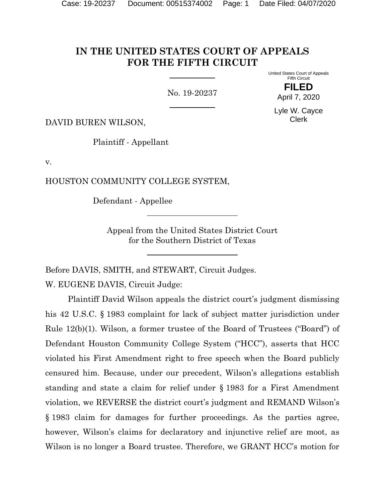# **IN THE UNITED STATES COURT OF APPEALS FOR THE FIFTH CIRCUIT**

No. 19-20237

United States Court of Appeals Fifth Circuit **FILED**

April 7, 2020

Lyle W. Cayce Clerk

DAVID BUREN WILSON,

Plaintiff - Appellant

v.

HOUSTON COMMUNITY COLLEGE SYSTEM,

Defendant - Appellee

Appeal from the United States District Court for the Southern District of Texas

Before DAVIS, SMITH, and STEWART, Circuit Judges.

W. EUGENE DAVIS, Circuit Judge:

Plaintiff David Wilson appeals the district court's judgment dismissing his 42 U.S.C. § 1983 complaint for lack of subject matter jurisdiction under Rule 12(b)(1). Wilson, a former trustee of the Board of Trustees ("Board") of Defendant Houston Community College System ("HCC"), asserts that HCC violated his First Amendment right to free speech when the Board publicly censured him. Because, under our precedent, Wilson's allegations establish standing and state a claim for relief under § 1983 for a First Amendment violation, we REVERSE the district court's judgment and REMAND Wilson's § 1983 claim for damages for further proceedings. As the parties agree, however, Wilson's claims for declaratory and injunctive relief are moot, as Wilson is no longer a Board trustee. Therefore, we GRANT HCC's motion for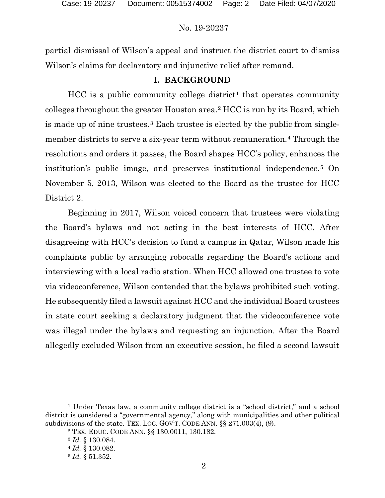partial dismissal of Wilson's appeal and instruct the district court to dismiss Wilson's claims for declaratory and injunctive relief after remand.

## **I. BACKGROUND**

 $HCC$  is a public community college district<sup>[1](#page-1-0)</sup> that operates community colleges throughout the greater Houston area.[2](#page-1-1) HCC is run by its Board, which is made up of nine trustees.[3](#page-1-2) Each trustee is elected by the public from single-member districts to serve a six-year term without remuneration.<sup>[4](#page-1-3)</sup> Through the resolutions and orders it passes, the Board shapes HCC's policy, enhances the institution's public image, and preserves institutional independence.[5](#page-1-4) On November 5, 2013, Wilson was elected to the Board as the trustee for HCC District 2.

Beginning in 2017, Wilson voiced concern that trustees were violating the Board's bylaws and not acting in the best interests of HCC. After disagreeing with HCC's decision to fund a campus in Qatar, Wilson made his complaints public by arranging robocalls regarding the Board's actions and interviewing with a local radio station. When HCC allowed one trustee to vote via videoconference, Wilson contended that the bylaws prohibited such voting. He subsequently filed a lawsuit against HCC and the individual Board trustees in state court seeking a declaratory judgment that the videoconference vote was illegal under the bylaws and requesting an injunction. After the Board allegedly excluded Wilson from an executive session, he filed a second lawsuit

<span id="page-1-4"></span><span id="page-1-3"></span><span id="page-1-2"></span><span id="page-1-1"></span><span id="page-1-0"></span><sup>1</sup> Under Texas law, a community college district is a "school district," and a school district is considered a "governmental agency," along with municipalities and other political subdivisions of the state. TEX. LOC. GOV'T. CODE ANN. §§ 271.003(4), (9).

<sup>2</sup> TEX. EDUC. CODE ANN. §§ 130.0011, 130.182.

<sup>3</sup> *Id.* § 130.084.

<sup>4</sup> *Id.* § 130.082.

<sup>5</sup> *Id.* § 51.352.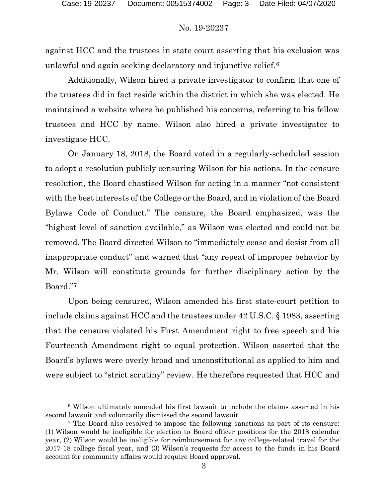against HCC and the trustees in state court asserting that his exclusion was unlawful and again seeking declaratory and injunctive relief.<sup>[6](#page-2-0)</sup>

Additionally, Wilson hired a private investigator to confirm that one of the trustees did in fact reside within the district in which she was elected. He maintained a website where he published his concerns, referring to his fellow trustees and HCC by name. Wilson also hired a private investigator to investigate HCC.

On January 18, 2018, the Board voted in a regularly-scheduled session to adopt a resolution publicly censuring Wilson for his actions. In the censure resolution, the Board chastised Wilson for acting in a manner "not consistent with the best interests of the College or the Board, and in violation of the Board Bylaws Code of Conduct." The censure, the Board emphasized, was the "highest level of sanction available," as Wilson was elected and could not be removed. The Board directed Wilson to "immediately cease and desist from all inappropriate conduct" and warned that "any repeat of improper behavior by Mr. Wilson will constitute grounds for further disciplinary action by the Board."[7](#page-2-1)

Upon being censured, Wilson amended his first state-court petition to include claims against HCC and the trustees under 42 U.S.C. § 1983, asserting that the censure violated his First Amendment right to free speech and his Fourteenth Amendment right to equal protection. Wilson asserted that the Board's bylaws were overly broad and unconstitutional as applied to him and were subject to "strict scrutiny" review. He therefore requested that HCC and

<span id="page-2-0"></span><sup>6</sup> Wilson ultimately amended his first lawsuit to include the claims asserted in his second lawsuit and voluntarily dismissed the second lawsuit.

<span id="page-2-1"></span><sup>7</sup> The Board also resolved to impose the following sanctions as part of its censure: (1) Wilson would be ineligible for election to Board officer positions for the 2018 calendar year, (2) Wilson would be ineligible for reimbursement for any college-related travel for the 2017-18 college fiscal year, and (3) Wilson's requests for access to the funds in his Board account for community affairs would require Board approval.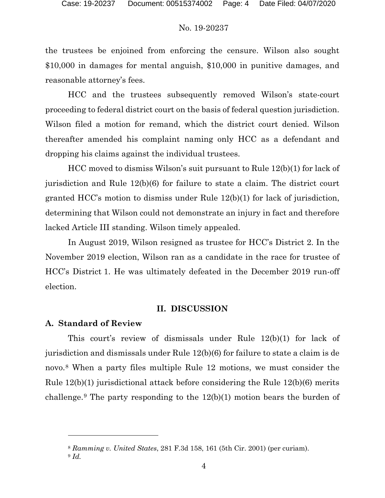the trustees be enjoined from enforcing the censure. Wilson also sought \$10,000 in damages for mental anguish, \$10,000 in punitive damages, and reasonable attorney's fees.

HCC and the trustees subsequently removed Wilson's state-court proceeding to federal district court on the basis of federal question jurisdiction. Wilson filed a motion for remand, which the district court denied. Wilson thereafter amended his complaint naming only HCC as a defendant and dropping his claims against the individual trustees.

HCC moved to dismiss Wilson's suit pursuant to Rule 12(b)(1) for lack of jurisdiction and Rule 12(b)(6) for failure to state a claim. The district court granted HCC's motion to dismiss under Rule 12(b)(1) for lack of jurisdiction, determining that Wilson could not demonstrate an injury in fact and therefore lacked Article III standing. Wilson timely appealed.

In August 2019, Wilson resigned as trustee for HCC's District 2. In the November 2019 election, Wilson ran as a candidate in the race for trustee of HCC's District 1. He was ultimately defeated in the December 2019 run-off election.

## **II. DISCUSSION**

## **A. Standard of Review**

This court's review of dismissals under Rule 12(b)(1) for lack of jurisdiction and dismissals under Rule 12(b)(6) for failure to state a claim is de novo.[8](#page-3-0) When a party files multiple Rule 12 motions, we must consider the Rule 12(b)(1) jurisdictional attack before considering the Rule 12(b)(6) merits challenge.<sup>[9](#page-3-1)</sup> The party responding to the  $12(b)(1)$  motion bears the burden of

<sup>8</sup> *Ramming v. United States*, 281 F.3d 158, 161 (5th Cir. 2001) (per curiam).

<span id="page-3-1"></span><span id="page-3-0"></span><sup>9</sup> *Id.*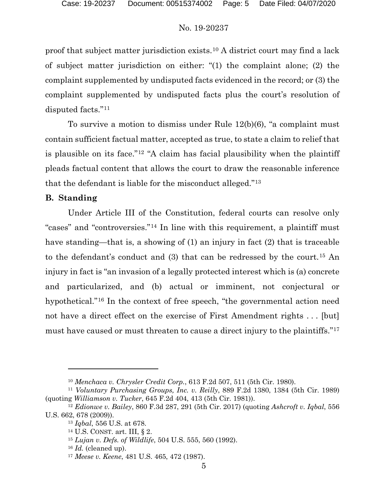proof that subject matter jurisdiction exists.[10](#page-4-0) A district court may find a lack of subject matter jurisdiction on either: "(1) the complaint alone; (2) the complaint supplemented by undisputed facts evidenced in the record; or (3) the complaint supplemented by undisputed facts plus the court's resolution of disputed facts."[11](#page-4-1)

To survive a motion to dismiss under Rule 12(b)(6), "a complaint must contain sufficient factual matter, accepted as true, to state a claim to relief that is plausible on its face."[12](#page-4-2) "A claim has facial plausibility when the plaintiff pleads factual content that allows the court to draw the reasonable inference that the defendant is liable for the misconduct alleged."[13](#page-4-3)

## **B. Standing**

Under Article III of the Constitution, federal courts can resolve only "cases" and "controversies."[14](#page-4-4) In line with this requirement, a plaintiff must have standing—that is, a showing of (1) an injury in fact (2) that is traceable to the defendant's conduct and (3) that can be redressed by the court.[15](#page-4-5) An injury in fact is "an invasion of a legally protected interest which is (a) concrete and particularized, and (b) actual or imminent, not conjectural or hypothetical."[16](#page-4-6) In the context of free speech, "the governmental action need not have a direct effect on the exercise of First Amendment rights ... [but] must have caused or must threaten to cause a direct injury to the plaintiffs."<sup>17</sup>

<sup>10</sup> *Menchaca v. Chrysler Credit Corp.*, 613 F.2d 507, 511 (5th Cir. 1980).

<span id="page-4-1"></span><span id="page-4-0"></span><sup>11</sup> *Voluntary Purchasing Groups, Inc. v. Reilly*, 889 F.2d 1380, 1384 (5th Cir. 1989) (quoting *Williamson v. Tucker*, 645 F.2d 404, 413 (5th Cir. 1981)).

<span id="page-4-7"></span><span id="page-4-6"></span><span id="page-4-5"></span><span id="page-4-4"></span><span id="page-4-3"></span><span id="page-4-2"></span><sup>12</sup> *Edionwe v. Bailey*, 860 F.3d 287, 291 (5th Cir. 2017) (quoting *Ashcroft v. Iqbal*, 556 U.S. 662, 678 (2009)).

<sup>13</sup> *Iqbal*, 556 U.S. at 678.

<sup>14</sup> U.S. CONST. art. III, § 2.

<sup>15</sup> *Lujan v. Defs. of Wildlife*, 504 U.S. 555, 560 (1992).

<sup>16</sup> *Id.* (cleaned up).

<sup>17</sup> *Meese v. Keene*, 481 U.S. 465, 472 (1987).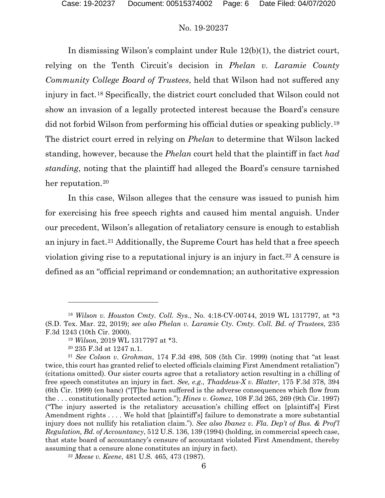In dismissing Wilson's complaint under Rule 12(b)(1), the district court, relying on the Tenth Circuit's decision in *Phelan v. Laramie County Community College Board of Trustees*, held that Wilson had not suffered any injury in fact.[18](#page-5-0) Specifically, the district court concluded that Wilson could not show an invasion of a legally protected interest because the Board's censure did not forbid Wilson from performing his official duties or speaking publicly.[19](#page-5-1) The district court erred in relying on *Phelan* to determine that Wilson lacked standing, however, because the *Phelan* court held that the plaintiff in fact *had standing*, noting that the plaintiff had alleged the Board's censure tarnished her reputation.<sup>[20](#page-5-2)</sup>

In this case, Wilson alleges that the censure was issued to punish him for exercising his free speech rights and caused him mental anguish. Under our precedent, Wilson's allegation of retaliatory censure is enough to establish an injury in fact.[21](#page-5-3) Additionally, the Supreme Court has held that a free speech violation giving rise to a reputational injury is an injury in fact.[22](#page-5-4) A censure is defined as an "official reprimand or condemnation; an authoritative expression

<span id="page-5-0"></span><sup>18</sup> *Wilson v. Houston Cmty. Coll. Sys.*, No. 4:18-CV-00744, 2019 WL 1317797, at \*3 (S.D. Tex. Mar. 22, 2019); *see also Phelan v. Laramie Cty. Cmty. Coll. Bd. of Trustees*, 235 F.3d 1243 (10th Cir. 2000).

<sup>19</sup> *Wilson*, 2019 WL 1317797 at \*3.

<sup>20</sup> 235 F.3d at 1247 n.1.

<span id="page-5-3"></span><span id="page-5-2"></span><span id="page-5-1"></span><sup>21</sup> *See Colson v. Grohman*, 174 F.3d 498, 508 (5th Cir. 1999) (noting that "at least twice, this court has granted relief to elected officials claiming First Amendment retaliation") (citations omitted). Our sister courts agree that a retaliatory action resulting in a chilling of free speech constitutes an injury in fact. *See, e.g., Thaddeus-X v. Blatter*, 175 F.3d 378, 394 (6th Cir. 1999) (en banc) ("[T]he harm suffered is the adverse consequences which flow from the . . . constitutionally protected action."); *Hines v. Gomez*, 108 F.3d 265, 269 (9th Cir. 1997) ("The injury asserted is the retaliatory accusation's chilling effect on [plaintiff's] First Amendment rights . . . . We hold that [plaintiff's] failure to demonstrate a more substantial injury does not nullify his retaliation claim."). *See also Ibanez v. Fla. Dep't of Bus. & Prof'l Regulation, Bd. of Accountancy*, 512 U.S. 136, 139 (1994) (holding, in commercial speech case, that state board of accountancy's censure of accountant violated First Amendment, thereby assuming that a censure alone constitutes an injury in fact).

<span id="page-5-4"></span><sup>22</sup> *Meese v. Keene*, 481 U.S. 465, 473 (1987).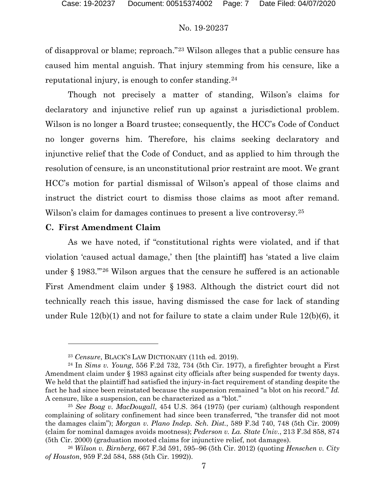of disapproval or blame; reproach."[23](#page-6-0) Wilson alleges that a public censure has caused him mental anguish. That injury stemming from his censure, like a reputational injury, is enough to confer standing.[24](#page-6-1)

Though not precisely a matter of standing, Wilson's claims for declaratory and injunctive relief run up against a jurisdictional problem. Wilson is no longer a Board trustee; consequently, the HCC's Code of Conduct no longer governs him. Therefore, his claims seeking declaratory and injunctive relief that the Code of Conduct, and as applied to him through the resolution of censure, is an unconstitutional prior restraint are moot. We grant HCC's motion for partial dismissal of Wilson's appeal of those claims and instruct the district court to dismiss those claims as moot after remand. Wilson's claim for damages continues to present a live controversy.<sup>[25](#page-6-2)</sup>

## **C. First Amendment Claim**

As we have noted, if "constitutional rights were violated, and if that violation 'caused actual damage,' then [the plaintiff] has 'stated a live claim under § 1983.'"[26](#page-6-3) Wilson argues that the censure he suffered is an actionable First Amendment claim under § 1983. Although the district court did not technically reach this issue, having dismissed the case for lack of standing under Rule 12(b)(1) and not for failure to state a claim under Rule 12(b)(6), it

<sup>23</sup> *Censure*, BLACK'S LAW DICTIONARY (11th ed. 2019).

<span id="page-6-1"></span><span id="page-6-0"></span><sup>24</sup> In *Sims v. Young*, 556 F.2d 732, 734 (5th Cir. 1977), a firefighter brought a First Amendment claim under § 1983 against city officials after being suspended for twenty days. We held that the plaintiff had satisfied the injury-in-fact requirement of standing despite the fact he had since been reinstated because the suspension remained "a blot on his record." *Id.* A censure, like a suspension, can be characterized as a "blot."

<span id="page-6-2"></span><sup>25</sup> *See Boag v. MacDougall*, 454 U.S. 364 (1975) (per curiam) (although respondent complaining of solitary confinement had since been transferred, "the transfer did not moot the damages claim"); *Morgan v. Plano Indep. Sch. Dist.*, 589 F.3d 740, 748 (5th Cir. 2009) (claim for nominal damages avoids mootness); *Pederson v. La. State Univ.*, 213 F.3d 858, 874 (5th Cir. 2000) (graduation mooted claims for injunctive relief, not damages).

<span id="page-6-3"></span><sup>26</sup> *Wilson v. Birnberg*, 667 F.3d 591, 595–96 (5th Cir. 2012) (quoting *Henschen v. City of Houston*, 959 F.2d 584, 588 (5th Cir. 1992)).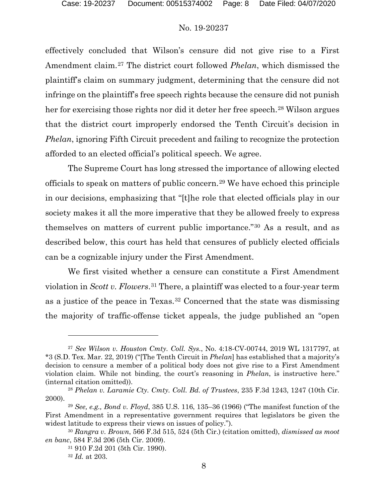effectively concluded that Wilson's censure did not give rise to a First Amendment claim.[27](#page-7-0) The district court followed *Phelan*, which dismissed the plaintiff's claim on summary judgment, determining that the censure did not infringe on the plaintiff's free speech rights because the censure did not punish her for exercising those rights nor did it deter her free speech.<sup>[28](#page-7-1)</sup> Wilson argues that the district court improperly endorsed the Tenth Circuit's decision in *Phelan*, ignoring Fifth Circuit precedent and failing to recognize the protection afforded to an elected official's political speech. We agree.

The Supreme Court has long stressed the importance of allowing elected officials to speak on matters of public concern.[29](#page-7-2) We have echoed this principle in our decisions, emphasizing that "[t]he role that elected officials play in our society makes it all the more imperative that they be allowed freely to express themselves on matters of current public importance."[30](#page-7-3) As a result, and as described below, this court has held that censures of publicly elected officials can be a cognizable injury under the First Amendment.

We first visited whether a censure can constitute a First Amendment violation in *Scott v. Flowers*.[31](#page-7-4) There, a plaintiff was elected to a four-year term as a justice of the peace in Texas.[32](#page-7-5) Concerned that the state was dismissing the majority of traffic-offense ticket appeals, the judge published an "open

<span id="page-7-0"></span><sup>27</sup> *See Wilson v. Houston Cmty. Coll. Sys.*, No. 4:18-CV-00744, 2019 WL 1317797, at \*3 (S.D. Tex. Mar. 22, 2019) ("[The Tenth Circuit in *Phelan*] has established that a majority's decision to censure a member of a political body does not give rise to a First Amendment violation claim. While not binding, the court's reasoning in *Phelan*, is instructive here." (internal citation omitted)).

<span id="page-7-1"></span><sup>28</sup> *Phelan v. Laramie Cty. Cmty. Coll. Bd. of Trustees*, 235 F.3d 1243, 1247 (10th Cir. 2000).

<span id="page-7-2"></span><sup>29</sup> *See, e.g., Bond v. Floyd*, 385 U.S. 116, 135–36 (1966) ("The manifest function of the First Amendment in a representative government requires that legislators be given the widest latitude to express their views on issues of policy.").

<span id="page-7-5"></span><span id="page-7-4"></span><span id="page-7-3"></span><sup>30</sup> *Rangra v. Brown*, 566 F.3d 515, 524 (5th Cir.) (citation omitted), *dismissed as moot en banc*, 584 F.3d 206 (5th Cir. 2009).

<sup>31</sup> 910 F.2d 201 (5th Cir. 1990).

<sup>32</sup> *Id.* at 203.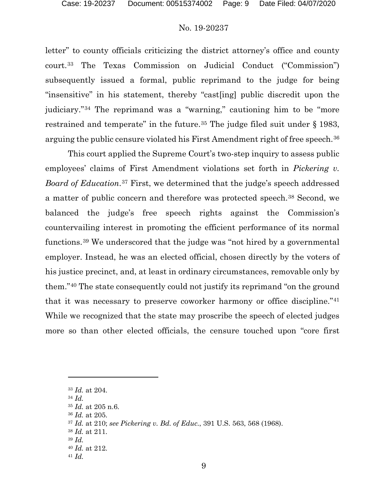letter" to county officials criticizing the district attorney's office and county court.[33](#page-8-0) The Texas Commission on Judicial Conduct ("Commission") subsequently issued a formal, public reprimand to the judge for being "insensitive" in his statement, thereby "cast[ing] public discredit upon the judiciary."[34](#page-8-1) The reprimand was a "warning," cautioning him to be "more restrained and temperate" in the future.<sup>[35](#page-8-2)</sup> The judge filed suit under § 1983, arguing the public censure violated his First Amendment right of free speech.<sup>[36](#page-8-3)</sup>

This court applied the Supreme Court's two-step inquiry to assess public employees' claims of First Amendment violations set forth in *Pickering v. Board of Education*.[37](#page-8-4) First, we determined that the judge's speech addressed a matter of public concern and therefore was protected speech.[38](#page-8-5) Second, we balanced the judge's free speech rights against the Commission's countervailing interest in promoting the efficient performance of its normal functions.[39](#page-8-6) We underscored that the judge was "not hired by a governmental employer. Instead, he was an elected official, chosen directly by the voters of his justice precinct, and, at least in ordinary circumstances, removable only by them."[40](#page-8-7) The state consequently could not justify its reprimand "on the ground that it was necessary to preserve coworker harmony or office discipline."[41](#page-8-8) While we recognized that the state may proscribe the speech of elected judges more so than other elected officials, the censure touched upon "core first

<span id="page-8-0"></span><sup>33</sup> *Id.* at 204.

<span id="page-8-2"></span><span id="page-8-1"></span><sup>34</sup> *Id.*

<sup>35</sup> *Id.* at 205 n.6.

<span id="page-8-3"></span><sup>36</sup> *Id.* at 205.

<span id="page-8-5"></span><span id="page-8-4"></span><sup>37</sup> *Id.* at 210; *see Pickering v. Bd. of Educ.*, 391 U.S. 563, 568 (1968).

<sup>38</sup> *Id.* at 211.

<span id="page-8-6"></span><sup>39</sup> *Id.*

<span id="page-8-7"></span><sup>40</sup> *Id.* at 212.

<span id="page-8-8"></span><sup>41</sup> *Id.*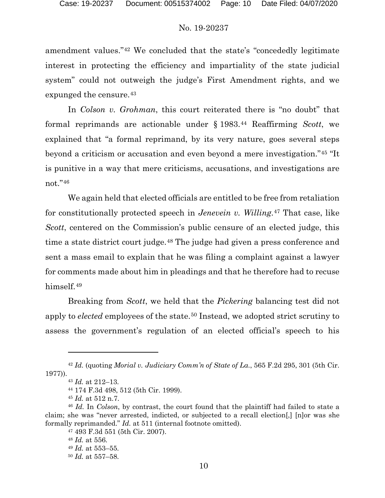amendment values."[42](#page-9-0) We concluded that the state's "concededly legitimate interest in protecting the efficiency and impartiality of the state judicial system" could not outweigh the judge's First Amendment rights, and we expunged the censure.<sup>[43](#page-9-1)</sup>

In *Colson v. Grohman*, this court reiterated there is "no doubt" that formal reprimands are actionable under § 1983.[44](#page-9-2) Reaffirming *Scott*, we explained that "a formal reprimand, by its very nature, goes several steps beyond a criticism or accusation and even beyond a mere investigation."[45](#page-9-3) "It is punitive in a way that mere criticisms, accusations, and investigations are not."[46](#page-9-4)

We again held that elected officials are entitled to be free from retaliation for constitutionally protected speech in *Jenevein v. Willing*.[47](#page-9-5) That case, like *Scott*, centered on the Commission's public censure of an elected judge, this time a state district court judge.[48](#page-9-6) The judge had given a press conference and sent a mass email to explain that he was filing a complaint against a lawyer for comments made about him in pleadings and that he therefore had to recuse himself.<sup>[49](#page-9-7)</sup>

Breaking from *Scott*, we held that the *Pickering* balancing test did not apply to *elected* employees of the state.<sup>[50](#page-9-8)</sup> Instead, we adopted strict scrutiny to assess the government's regulation of an elected official's speech to his

<sup>47</sup> 493 F.3d 551 (5th Cir. 2007).

<span id="page-9-1"></span><span id="page-9-0"></span><sup>42</sup> *Id.* (quoting *Morial v. Judiciary Comm'n of State of La.*, 565 F.2d 295, 301 (5th Cir. 1977)).

<sup>43</sup> *Id.* at 212–13.

<sup>44</sup> 174 F.3d 498, 512 (5th Cir. 1999).

<sup>45</sup> *Id.* at 512 n.7.

<span id="page-9-8"></span><span id="page-9-7"></span><span id="page-9-6"></span><span id="page-9-5"></span><span id="page-9-4"></span><span id="page-9-3"></span><span id="page-9-2"></span><sup>46</sup> *Id.* In *Colson*, by contrast, the court found that the plaintiff had failed to state a claim; she was "never arrested, indicted, or subjected to a recall election[,] [n]or was she formally reprimanded." *Id.* at 511 (internal footnote omitted).

<sup>48</sup> *Id.* at 556. <sup>49</sup> *Id.* at 553–55. <sup>50</sup> *Id.* at 557–58.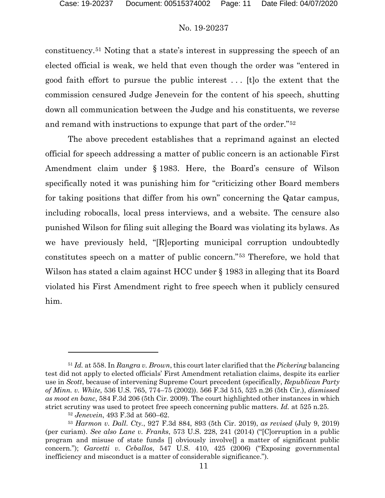constituency.[51](#page-10-0) Noting that a state's interest in suppressing the speech of an elected official is weak, we held that even though the order was "entered in good faith effort to pursue the public interest . . . [t]o the extent that the commission censured Judge Jenevein for the content of his speech, shutting down all communication between the Judge and his constituents, we reverse and remand with instructions to expunge that part of the order."[52](#page-10-1)

The above precedent establishes that a reprimand against an elected official for speech addressing a matter of public concern is an actionable First Amendment claim under § 1983. Here, the Board's censure of Wilson specifically noted it was punishing him for "criticizing other Board members for taking positions that differ from his own" concerning the Qatar campus, including robocalls, local press interviews, and a website. The censure also punished Wilson for filing suit alleging the Board was violating its bylaws. As we have previously held, "[R]eporting municipal corruption undoubtedly constitutes speech on a matter of public concern."[53](#page-10-2) Therefore, we hold that Wilson has stated a claim against HCC under § 1983 in alleging that its Board violated his First Amendment right to free speech when it publicly censured him.

<span id="page-10-0"></span><sup>51</sup> *Id.* at 558. In *Rangra v. Brown*, this court later clarified that the *Pickering* balancing test did not apply to elected officials' First Amendment retaliation claims, despite its earlier use in *Scott*, because of intervening Supreme Court precedent (specifically, *Republican Party of Minn. v. White*, 536 U.S. 765, 774–75 (2002)). 566 F.3d 515, 525 n.26 (5th Cir.), *dismissed as moot en banc*, 584 F.3d 206 (5th Cir. 2009). The court highlighted other instances in which strict scrutiny was used to protect free speech concerning public matters. *Id.* at 525 n.25.

<sup>52</sup> *Jenevein*, 493 F.3d at 560–62.

<span id="page-10-2"></span><span id="page-10-1"></span><sup>53</sup> *Harmon v. Dall. Cty.*, 927 F.3d 884, 893 (5th Cir. 2019), *as revised* (July 9, 2019) (per curiam). *See also Lane v. Franks*, 573 U.S. 228, 241 (2014) ("[C]orruption in a public program and misuse of state funds  $\Box$  obviously involve $\Box$  a matter of significant public concern."); *Garcetti v. Ceballos*, 547 U.S. 410, 425 (2006) ("Exposing governmental inefficiency and misconduct is a matter of considerable significance.").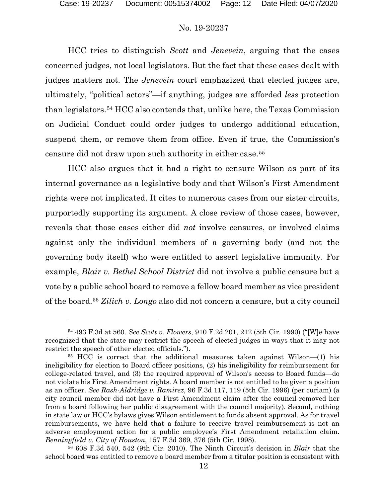HCC tries to distinguish *Scott* and *Jenevein*, arguing that the cases concerned judges, not local legislators. But the fact that these cases dealt with judges matters not. The *Jenevein* court emphasized that elected judges are, ultimately, "political actors"—if anything, judges are afforded *less* protection than legislators.[54](#page-11-0) HCC also contends that, unlike here, the Texas Commission on Judicial Conduct could order judges to undergo additional education, suspend them, or remove them from office. Even if true, the Commission's censure did not draw upon such authority in either case.[55](#page-11-1)

HCC also argues that it had a right to censure Wilson as part of its internal governance as a legislative body and that Wilson's First Amendment rights were not implicated. It cites to numerous cases from our sister circuits, purportedly supporting its argument. A close review of those cases, however, reveals that those cases either did *not* involve censures, or involved claims against only the individual members of a governing body (and not the governing body itself) who were entitled to assert legislative immunity. For example, *Blair v. Bethel School District* did not involve a public censure but a vote by a public school board to remove a fellow board member as vice president of the board.[56](#page-11-2) *Zilich v. Longo* also did not concern a censure, but a city council

<span id="page-11-0"></span><sup>54</sup> 493 F.3d at 560. *See Scott v. Flowers,* 910 F.2d 201, 212 (5th Cir. 1990) ("[W]e have recognized that the state may restrict the speech of elected judges in ways that it may not restrict the speech of other elected officials.").

<span id="page-11-1"></span><sup>55</sup> HCC is correct that the additional measures taken against Wilson—(1) his ineligibility for election to Board officer positions, (2) his ineligibility for reimbursement for college-related travel, and (3) the required approval of Wilson's access to Board funds—do not violate his First Amendment rights. A board member is not entitled to be given a position as an officer. *See Rash-Aldridge v. Ramirez*, 96 F.3d 117, 119 (5th Cir. 1996) (per curiam) (a city council member did not have a First Amendment claim after the council removed her from a board following her public disagreement with the council majority). Second, nothing in state law or HCC's bylaws gives Wilson entitlement to funds absent approval. As for travel reimbursements, we have held that a failure to receive travel reimbursement is not an adverse employment action for a public employee's First Amendment retaliation claim. *Benningfield v. City of Houston*, 157 F.3d 369, 376 (5th Cir. 1998).

<span id="page-11-2"></span><sup>56</sup> 608 F.3d 540, 542 (9th Cir. 2010). The Ninth Circuit's decision in *Blair* that the school board was entitled to remove a board member from a titular position is consistent with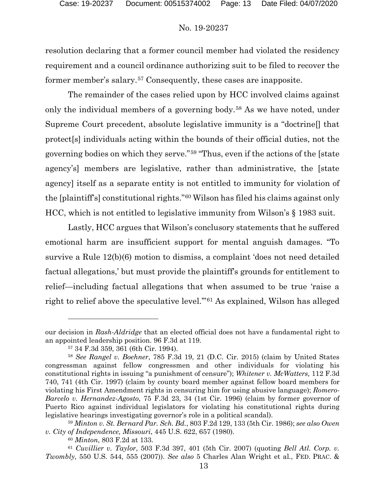resolution declaring that a former council member had violated the residency requirement and a council ordinance authorizing suit to be filed to recover the former member's salary.[57](#page-12-0) Consequently, these cases are inapposite.

The remainder of the cases relied upon by HCC involved claims against only the individual members of a governing body.[58](#page-12-1) As we have noted, under Supreme Court precedent, absolute legislative immunity is a "doctrine[] that protect[s] individuals acting within the bounds of their official duties, not the governing bodies on which they serve."[59](#page-12-2) "Thus, even if the actions of the [state agency's] members are legislative, rather than administrative, the [state agency] itself as a separate entity is not entitled to immunity for violation of the [plaintiff's] constitutional rights."[60](#page-12-3) Wilson has filed his claims against only HCC, which is not entitled to legislative immunity from Wilson's § 1983 suit.

Lastly, HCC argues that Wilson's conclusory statements that he suffered emotional harm are insufficient support for mental anguish damages. "To survive a Rule 12(b)(6) motion to dismiss, a complaint 'does not need detailed factual allegations,' but must provide the plaintiff's grounds for entitlement to relief—including factual allegations that when assumed to be true 'raise a right to relief above the speculative level.'"[61](#page-12-4) As explained, Wilson has alleged

our decision in *Rash-Aldridge* that an elected official does not have a fundamental right to an appointed leadership position. 96 F.3d at 119.

<sup>57</sup> 34 F.3d 359, 361 (6th Cir. 1994).

<span id="page-12-1"></span><span id="page-12-0"></span><sup>58</sup> *See Rangel v. Boehner*, 785 F.3d 19, 21 (D.C. Cir. 2015) (claim by United States congressman against fellow congressmen and other individuals for violating his constitutional rights in issuing "a punishment of censure"); *Whitener v. McWatters,* 112 F.3d 740, 741 (4th Cir. 1997) (claim by county board member against fellow board members for violating his First Amendment rights in censuring him for using abusive language); *Romero-Barcelo v. Hernandez-Agosto*, 75 F.3d 23, 34 (1st Cir. 1996) (claim by former governor of Puerto Rico against individual legislators for violating his constitutional rights during legislative hearings investigating governor's role in a political scandal).

<span id="page-12-2"></span><sup>59</sup> *Minton v. St. Bernard Par. Sch. Bd.*, 803 F.2d 129, 133 (5th Cir. 1986); *see also Owen v. City of Independence, Missouri*, 445 U.S. 622, 657 (1980).

<sup>60</sup> *Minton*, 803 F.2d at 133.

<span id="page-12-4"></span><span id="page-12-3"></span><sup>61</sup> *Cuvillier v. Taylor*, 503 F.3d 397, 401 (5th Cir. 2007) (quoting *Bell Atl. Corp. v. Twombly*, 550 U.S. 544, 555 (2007)). *See also* 5 Charles Alan Wright et al., FED. PRAC. &